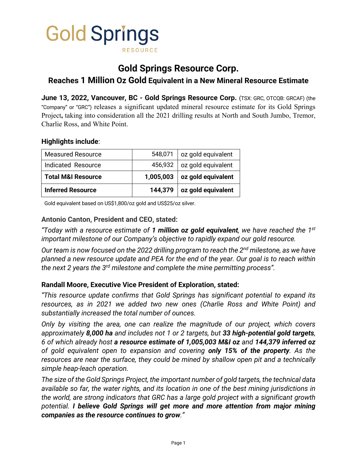

# **Gold Springs Resource Corp.**

**Reaches 1 Million Oz Gold Equivalent in a New Mineral Resource Estimate**

**June 13, 2022, Vancouver, BC - Gold Springs Resource Corp.** (TSX: GRC, OTCQB: GRCAF) (the "Company" or "GRC") releases a significant updated mineral resource estimate for its Gold Springs Project**,** taking into consideration all the 2021 drilling results at North and South Jumbo, Tremor, Charlie Ross, and White Point.

# **Highlights include**:

| <b>Measured Resource</b>      | 548,071   | oz gold equivalent           |
|-------------------------------|-----------|------------------------------|
| Indicated Resource            |           | 456,932   oz gold equivalent |
| <b>Total M&amp;I Resource</b> | 1,005,003 | oz gold equivalent           |
| <b>Inferred Resource</b>      | 144,379   | oz gold equivalent           |

Gold equivalent based on US\$1,800/oz gold and US\$25/oz silver.

# **Antonio Canton, President and CEO, stated:**

*"Today with a resource estimate of 1 million oz gold equivalent, we have reached the 1st important milestone of our Company's objective to rapidly expand our gold resource.*

*Our team is now focused on the 2022 drilling program to reach the 2nd milestone, as we have planned a new resource update and PEA for the end of the year. Our goal is to reach within the next 2 years the 3rd milestone and complete the mine permitting process".*

#### **Randall Moore, Executive Vice President of Exploration, stated:**

*"This resource update confirms that Gold Springs has significant potential to expand its resources, as in 2021 we added two new ones (Charlie Ross and White Point) and substantially increased the total number of ounces.*

*Only by visiting the area, one can realize the magnitude of our project, which covers approximately 8,000 ha and includes not 1 or 2 targets, but 33 high-potential gold targets, 6 of which already host a resource estimate of 1,005,003 M&I oz and 144,379 inferred oz of gold equivalent open to expansion and covering only 15% of the property. As the resources are near the surface, they could be mined by shallow open pit and a technically simple heap-leach operation.*

*The size of the Gold Springs Project, the important number of gold targets, the technical data available so far, the water rights, and its location in one of the best mining jurisdictions in the world, are strong indicators that GRC has a large gold project with a significant growth potential. I believe Gold Springs will get more and more attention from major mining companies as the resource continues to grow."*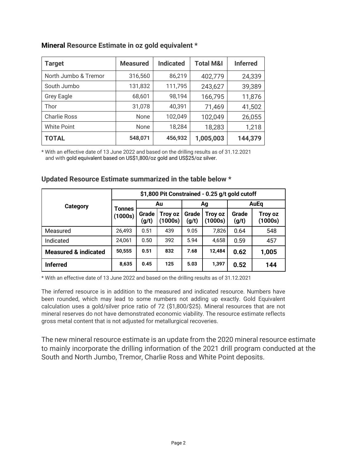| <b>Target</b>        | <b>Measured</b> | <b>Indicated</b> | <b>Total M&amp;I</b> | <b>Inferred</b> |
|----------------------|-----------------|------------------|----------------------|-----------------|
| North Jumbo & Tremor | 316,560         | 86,219           | 402,779              | 24,339          |
| South Jumbo          | 131,832         | 111,795          | 243,627              | 39,389          |
| <b>Grey Eagle</b>    | 68,601          | 98,194           | 166,795              | 11,876          |
| Thor                 | 31,078          | 40,391           | 71,469               | 41,502          |
| <b>Charlie Ross</b>  | <b>None</b>     | 102,049          | 102,049              | 26,055          |
| <b>White Point</b>   | <b>None</b>     | 18,284           | 18,283               | 1,218           |
| <b>TOTAL</b>         | 548,071         | 456,932          | 1,005,003            | 144,379         |

# **Mineral Resource Estimate in oz gold equivalent \***

\* With an effective date of 13 June 2022 and based on the drilling results as of 31.12.2021 and with gold equivalent based on US\$1,800/oz gold and US\$25/oz silver.

|                                 | \$1,800 Pit Constrained - 0.25 g/t gold cutoff |                |                   |                |                    |                |                    |
|---------------------------------|------------------------------------------------|----------------|-------------------|----------------|--------------------|----------------|--------------------|
| Category                        | Tonnes<br>(1000s)                              | Au             |                   | Ag             |                    | AuEq           |                    |
|                                 |                                                | Grade<br>(g/t) | Troy oz<br>1000s) | Grade<br>(g/t) | Troy oz<br>(1000s) | Grade<br>(g/t) | Troy oz<br>(1000s) |
| Measured                        | 26,493                                         | 0.51           | 439               | 9.05           | 7,826              | 0.64           | 548                |
| Indicated                       | 24,061                                         | 0.50           | 392               | 5.94           | 4,658              | 0.59           | 457                |
| <b>Measured &amp; indicated</b> | 50,555                                         | 0.51           | 832               | 7.68           | 12,484             | 0.62           | 1,005              |
| <b>Inferred</b>                 | 8,635                                          | 0.45           | 125               | 5.03           | 1,397              | 0.52           | 144                |

#### **Updated Resource Estimate summarized in the table below \***

\* With an effective date of 13 June 2022 and based on the drilling results as of 31.12.2021

The inferred resource is in addition to the measured and indicated resource. Numbers have been rounded, which may lead to some numbers not adding up exactly. Gold Equivalent calculation uses a gold/silver price ratio of 72 (\$1,800/\$25). Mineral resources that are not mineral reserves do not have demonstrated economic viability. The resource estimate reflects gross metal content that is not adjusted for metallurgical recoveries.

The new mineral resource estimate is an update from the 2020 mineral resource estimate to mainly incorporate the drilling information of the 2021 drill program conducted at the South and North Jumbo, Tremor, Charlie Ross and White Point deposits.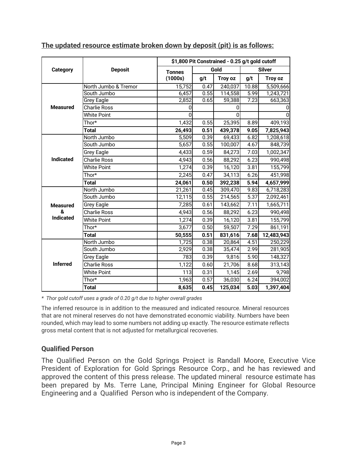|                  |                      |               | \$1,800 Pit Constrained - 0.25 g/t gold cutoff |         |       |               |  |
|------------------|----------------------|---------------|------------------------------------------------|---------|-------|---------------|--|
| <b>Category</b>  | <b>Deposit</b>       | <b>Tonnes</b> |                                                | Gold    |       | <b>Silver</b> |  |
|                  |                      | (1000s)       | g/t                                            | Troy oz | g/t   | Troy oz       |  |
|                  | North Jumbo & Tremor | 15,752        | 0.47                                           | 240,037 | 10.88 | 5,509,666     |  |
|                  | South Jumbo          | 6,457         | 0.55                                           | 114,558 | 5.99  | 1,243,721     |  |
|                  | Grey Eagle           | 2,852         | $\overline{0.65}$                              | 59,388  | 7.23  | 663,363       |  |
| <b>Measured</b>  | <b>Charlie Ross</b>  | 0             |                                                |         |       | 0             |  |
|                  | <b>White Point</b>   | U             |                                                | ŋ       |       | $\Omega$      |  |
|                  | Thor*                | 1,432         | 0.55                                           | 25,395  | 8.89  | 409,193       |  |
|                  | <b>Total</b>         | 26,493        | 0.51                                           | 439,378 | 9.05  | 7,825,943     |  |
|                  | North Jumbo          | 5,509         | 0.39                                           | 69,433  | 6.82  | 1,208,618     |  |
|                  | South Jumbo          | 5,657         | 0.55                                           | 100,007 | 4.67  | 848,739       |  |
|                  | <b>Grey Eagle</b>    | 4,433         | 0.59                                           | 84,273  | 7.03  | 1,002,347     |  |
| <b>Indicated</b> | <b>Charlie Ross</b>  | 4,943         | 0.56                                           | 88,292  | 6.23  | 990,498       |  |
|                  | <b>White Point</b>   | 1,274         | 0.39                                           | 16,120  | 3.81  | 155,799       |  |
|                  | Thor*                | 2,245         | 0.47                                           | 34,113  | 6.26  | 451,998       |  |
|                  | <b>Total</b>         | 24,061        | 0.50                                           | 392,238 | 5.94  | 4,657,999     |  |
|                  | North Jumbo          | 21,261        | 0.45                                           | 309,470 | 9.83  | 6,718,283     |  |
|                  | South Jumbo          | 12,115        | 0.55                                           | 214,565 | 5.37  | 2,092,461     |  |
| <b>Measured</b>  | Grey Eagle           | 7,285         | 0.61                                           | 143,662 | 7.11  | 1,665,711     |  |
| &                | <b>Charlie Ross</b>  | 4,943         | 0.56                                           | 88,292  | 6.23  | 990,498       |  |
| <b>Indicated</b> | <b>White Point</b>   | 1,274         | 0.39                                           | 16,120  | 3.81  | 155,799       |  |
|                  | Thor*                | 3,677         | 0.50                                           | 59,507  | 7.29  | 861,191       |  |
|                  | <b>Total</b>         | 50,555        | 0.51                                           | 831,616 | 7.68  | 12,483,943    |  |
|                  | North Jumbo          | 1,725         | 0.38                                           | 20,864  | 4.51  | 250,229       |  |
| <b>Inferred</b>  | South Jumbo          | 2,929         | 0.38                                           | 35,474  | 2.99  | 281,905       |  |
|                  | <b>Grey Eagle</b>    | 783           | 0.39                                           | 9,816   | 5.90  | 148,327       |  |
|                  | <b>Charlie Ross</b>  | 1,122         | 0.60                                           | 21,706  | 8.68  | 313,143       |  |
|                  | <b>White Point</b>   | 113           | 0.31                                           | 1,145   | 2.69  | 9,798         |  |
|                  | Thor*                | 1,963         | 0.57                                           | 36,030  | 6.24  | 394,002       |  |
|                  | <b>Total</b>         | 8,635         | 0.45                                           | 125,034 | 5.03  | 1,397,404     |  |

**The updated resource estimate broken down by deposit (pit) is as follows:**

*\* Thor gold cutoff uses a grade of 0.20 g/t due to higher overall grades* 

The inferred resource is in addition to the measured and indicated resource. Mineral resources that are not mineral reserves do not have demonstrated economic viability. Numbers have been rounded, which may lead to some numbers not adding up exactly. The resource estimate reflects gross metal content that is not adjusted for metallurgical recoveries.

# **Qualified Person**

The Qualified Person on the Gold Springs Project is Randall Moore, Executive Vice President of Exploration for Gold Springs Resource Corp., and he has reviewed and approved the content of this press release. The updated mineral resource estimate has been prepared by Ms. Terre Lane, Principal Mining Engineer for Global Resource Engineering and a Qualified Person who is independent of the Company.